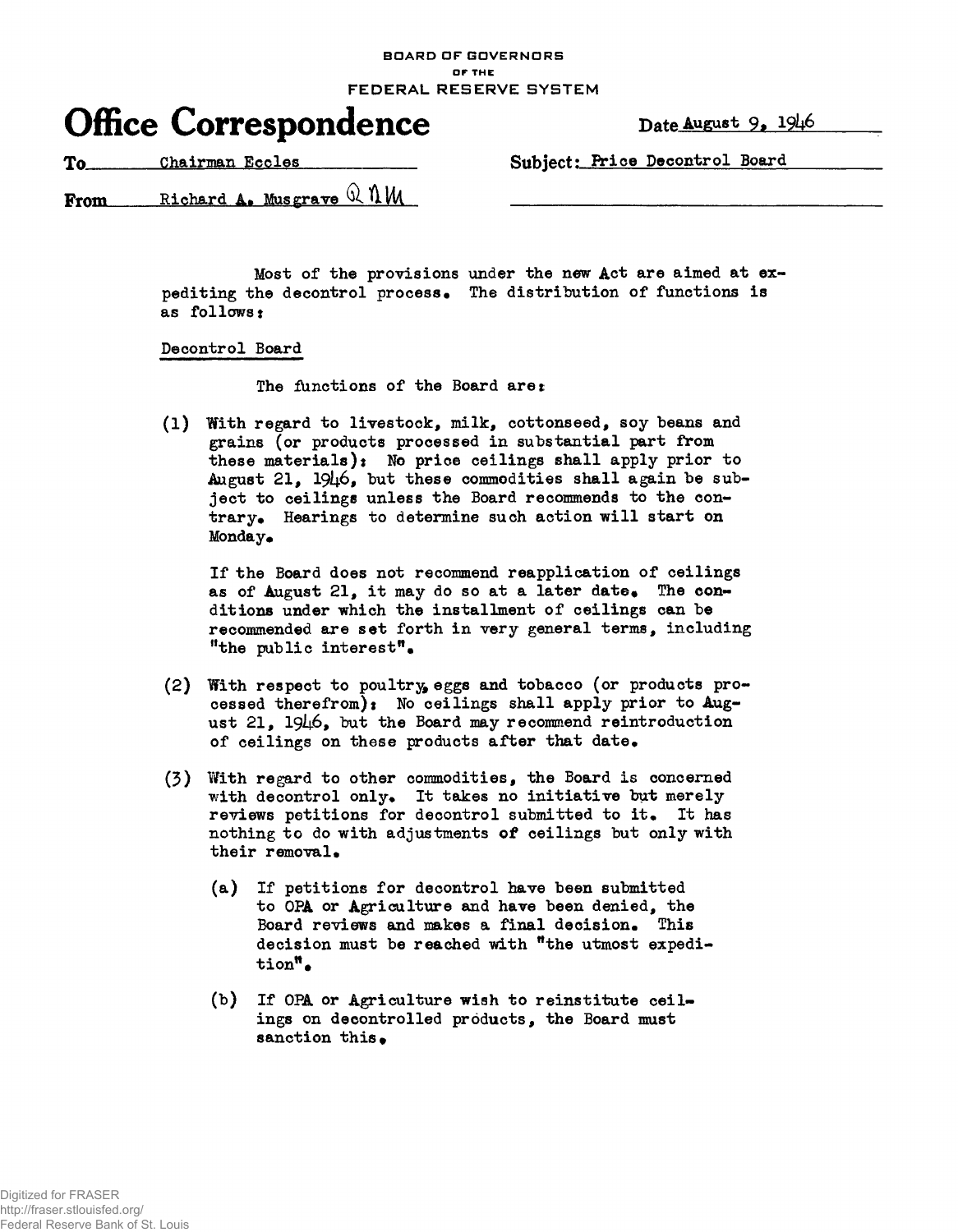**BOARD OF GOVERNORS DF THE** FEDERAL RESERVE SYSTEM



To Chairman Eccles Chairman Eccles Subject: Price Decontrol Board

From Richard A. Musgrave  $\Omega$   $\mathcal{N}$  M

Most of the provisions under the new Act are aimed at expediting the decontrol process. The distribution of functions is as follows t

## Decontrol Board

The functions of the Board are:

(1) With regard to livestock, milk, cottonseed, soy beans and grains (or products processed in substantial part from these materials): No price ceilings shall apply prior to August 21,  $19\mu6$ , but these commodities shall again be subject to ceilings unless the Board recommends to the contrary. Hearings to determine such action will start on Monday.

If the Board does not recommend reapplication of ceilings as of August 21, it may do so at a later date. The conditions under which the installment of ceilings can be recommended are set forth in very general terms, including "the public interest".

- (2) With respect to poultry eggs and tobacco (or products processed therefrom): No ceilings shall apply prior to  $Aug$ ust 21. 1946. but the Board may recommend reintroduction of ceilings on these products after that date.
- (3) With regard to other commodities, the Board is concerned with decontrol only. It takes no initiative but merely reviews petitions for decontrol submitted to it. It has nothing to do with adjustments of ceilings but only with their removal.
	- (a) If petitions for decontrol have been submitted to OPA or Agriculture and have been denied, the Board reviews and makes a final decision. This decision must be reached with "the utmost expedition".
	- (b) If OPA or Agriculture wish to reinstitute ceilings on decontrolled products, the Board must sanction this.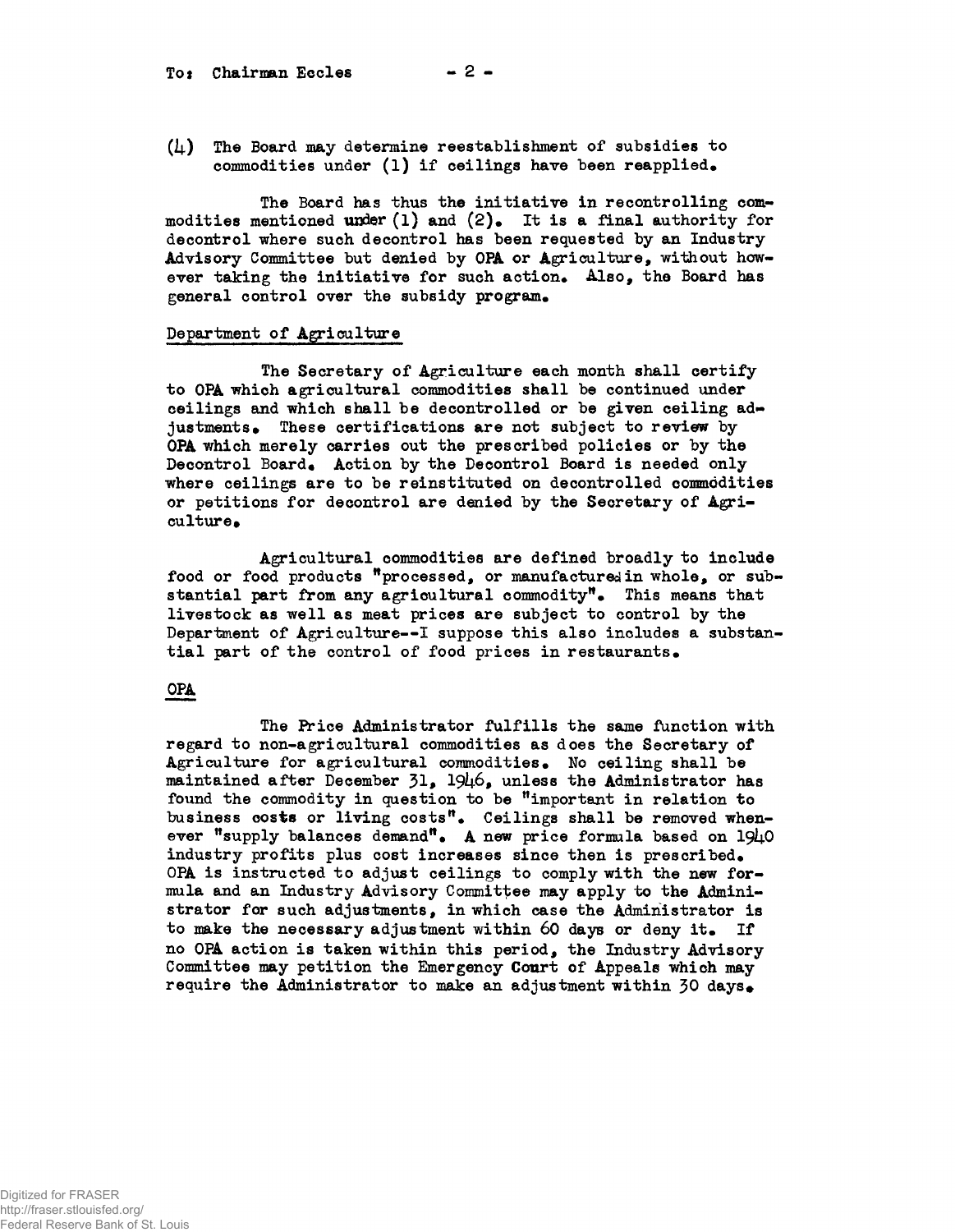To: Chairman Eccles  $-2 -$ 

 $(1)$  The Board may determine reestablishment of subsidies to commodities under  $(1)$  if ceilings have been reapplied.

The Board has thus the initiative in recontrolling commodities mentioned under  $(1)$  and  $(2)_\bullet$  It is a final authority for decontrol where such decontrol has been requested by an Industry Advisory Committee but denied by OPA or Agriculture, without however taking the initiative for such action. Also, the Board has general control over the subsidy program.

## Department of Agriculture

The Secretary of Agriculture each month shall certify to OPA which agricultural commodities shall be continued under ceilings and which shall be decontrolled or be given ceiling adjustments. These certifications are not subject to review by OPA which merely carries out the prescribed policies or by the Decontrol Board. Action by the Decontrol Board is needed only where ceilings are to be reinstituted on decontrolled commodities or petitions for decontrol are denied by the Secretary of Agriculture.

Agricultural commodities are defined broadly to include food or food products "processed, or manufactured in whole, or substantial part from any agricultural commodity". This means that livestock as well as meat prices are subject to control by the Department of Agriculture—I suppose this also includes a substantial part of the control of food prices in restaurants.

## OPA

The Price Administrator fulfills the same function with regard to non-agricultural commodities as does the Secretary of Agriculture for agricultural commodities. No ceiling shall be maintained after December  $31_2$ ,  $1946_2$ , unless the Administrator has found the commodity in question to be "important in relation to business costs or living costs". Ceilings shall be removed whenever "supply balances demand". A new price formula based on  $194.0$ industry profits plus cost increases since then is prescribed. OPA is instructed to adjust ceilings to comply with the new formula and an Industry Advisory Committee may apply to the Administrator for such adjustments, in which case the Administrator is to make the necessary adjustment within 60 days or deny it. If no OPA action is taken within this period, the Industry Advisory Committee may petition the Emergency Court of Appeals which may require the Administrator to make an adjustment within  $30 \text{ days}$ .